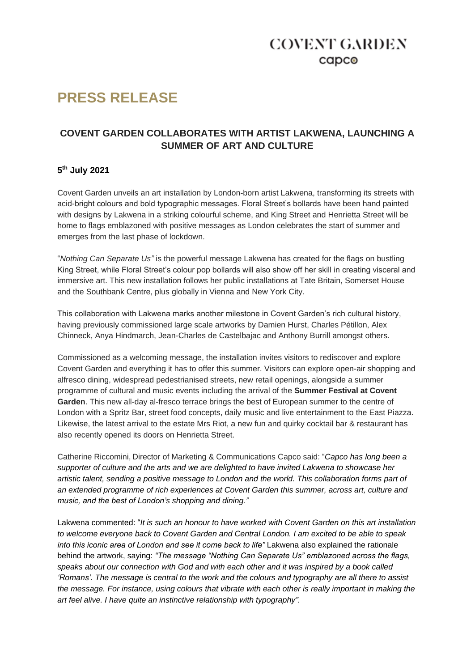### **COVENT GARDEN**  $c$ apc $\odot$

# **PRESS RELEASE**

### **COVENT GARDEN COLLABORATES WITH ARTIST LAKWENA, LAUNCHING A SUMMER OF ART AND CULTURE**

### **5 th July 2021**

Covent Garden unveils an art installation by London-born artist Lakwena, transforming its streets with acid-bright colours and bold typographic messages. Floral Street's bollards have been hand painted with designs by Lakwena in a striking colourful scheme, and King Street and Henrietta Street will be home to flags emblazoned with positive messages as London celebrates the start of summer and emerges from the last phase of lockdown.

"*Nothing Can Separate Us"* is the powerful message Lakwena has created for the flags on bustling King Street, while Floral Street's colour pop bollards will also show off her skill in creating visceral and immersive art. This new installation follows her public installations at Tate Britain, Somerset House and the Southbank Centre, plus globally in Vienna and New York City.

This collaboration with Lakwena marks another milestone in Covent Garden's rich cultural history, having previously commissioned large scale artworks by Damien Hurst, Charles Pétillon, Alex Chinneck, Anya Hindmarch, Jean-Charles de Castelbajac and Anthony Burrill amongst others.

Commissioned as a welcoming message, the installation invites visitors to rediscover and explore Covent Garden and everything it has to offer this summer. Visitors can explore open-air shopping and alfresco dining, widespread pedestrianised streets, new retail openings, alongside a summer programme of cultural and music events including the arrival of the **Summer Festival at Covent Garden**. This new all-day al-fresco terrace brings the best of European summer to the centre of London with a Spritz Bar, street food concepts, daily music and live entertainment to the East Piazza. Likewise, the latest arrival to the estate Mrs Riot, a new fun and quirky cocktail bar & restaurant has also recently opened its doors on Henrietta Street.

Catherine Riccomini, Director of Marketing & Communications Capco said: "*Capco has long been a supporter of culture and the arts and we are delighted to have invited Lakwena to showcase her artistic talent, sending a positive message to London and the world. This collaboration forms part of an extended programme of rich experiences at Covent Garden this summer, across art, culture and music, and the best of London's shopping and dining."*

Lakwena commented: "*It is such an honour to have worked with Covent Garden on this art installation to welcome everyone back to Covent Garden and Central London. I am excited to be able to speak into this iconic area of London and see it come back to life"* Lakwena also explained the rationale behind the artwork, saying: *"The message "Nothing Can Separate Us" emblazoned across the flags, speaks about our connection with God and with each other and it was inspired by a book called 'Romans'. The message is central to the work and the colours and typography are all there to assist the message. For instance, using colours that vibrate with each other is really important in making the art feel alive. I have quite an instinctive relationship with typography".*